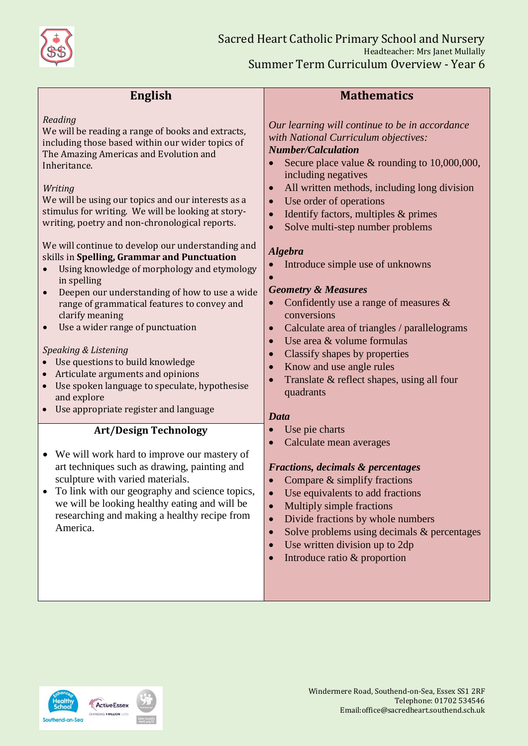

| <b>English</b>                                                                                                                                                                                                                                                                                                                                                                                                                                                                                                                                                                                                                                                                                                                                                                                                                                                                                                                | <b>Mathematics</b>                                                                                                                                                                                                                                                                                                                                                                                                                                                                                                                                                                                                                                                                                                                                     |
|-------------------------------------------------------------------------------------------------------------------------------------------------------------------------------------------------------------------------------------------------------------------------------------------------------------------------------------------------------------------------------------------------------------------------------------------------------------------------------------------------------------------------------------------------------------------------------------------------------------------------------------------------------------------------------------------------------------------------------------------------------------------------------------------------------------------------------------------------------------------------------------------------------------------------------|--------------------------------------------------------------------------------------------------------------------------------------------------------------------------------------------------------------------------------------------------------------------------------------------------------------------------------------------------------------------------------------------------------------------------------------------------------------------------------------------------------------------------------------------------------------------------------------------------------------------------------------------------------------------------------------------------------------------------------------------------------|
| Reading<br>We will be reading a range of books and extracts,<br>including those based within our wider topics of<br>The Amazing Americas and Evolution and<br>Inheritance.<br>Writing<br>We will be using our topics and our interests as a<br>stimulus for writing. We will be looking at story-<br>writing, poetry and non-chronological reports.<br>We will continue to develop our understanding and<br>skills in Spelling, Grammar and Punctuation<br>Using knowledge of morphology and etymology<br>in spelling<br>Deepen our understanding of how to use a wide<br>range of grammatical features to convey and<br>clarify meaning<br>Use a wider range of punctuation<br>$\bullet$<br>Speaking & Listening<br>Use questions to build knowledge<br>Articulate arguments and opinions<br>$\bullet$<br>Use spoken language to speculate, hypothesise<br>$\bullet$<br>and explore<br>Use appropriate register and language | Our learning will continue to be in accordance<br>with National Curriculum objectives:<br><b>Number/Calculation</b><br>Secure place value $\&$ rounding to 10,000,000,<br>including negatives<br>All written methods, including long division<br>Use order of operations<br>Identify factors, multiples & primes<br>Solve multi-step number problems<br><b>Algebra</b><br>Introduce simple use of unknowns<br><b>Geometry &amp; Measures</b><br>Confidently use a range of measures $\&$<br>conversions<br>Calculate area of triangles / parallelograms<br>$\bullet$<br>Use area & volume formulas<br>$\bullet$<br>Classify shapes by properties<br>Know and use angle rules<br>Translate & reflect shapes, using all four<br>quadrants<br><b>Data</b> |
| <b>Art/Design Technology</b>                                                                                                                                                                                                                                                                                                                                                                                                                                                                                                                                                                                                                                                                                                                                                                                                                                                                                                  | Use pie charts                                                                                                                                                                                                                                                                                                                                                                                                                                                                                                                                                                                                                                                                                                                                         |
| We will work hard to improve our mastery of<br>art techniques such as drawing, painting and<br>sculpture with varied materials.<br>To link with our geography and science topics,<br>we will be looking healthy eating and will be<br>researching and making a healthy recipe from<br>America.                                                                                                                                                                                                                                                                                                                                                                                                                                                                                                                                                                                                                                | Calculate mean averages<br><b>Fractions, decimals &amp; percentages</b><br>Compare $&$ simplify fractions<br>$\bullet$<br>Use equivalents to add fractions<br>$\bullet$<br>Multiply simple fractions<br>$\bullet$<br>Divide fractions by whole numbers<br>$\bullet$<br>Solve problems using decimals & percentages<br>$\bullet$<br>Use written division up to 2dp<br>Introduce ratio & proportion                                                                                                                                                                                                                                                                                                                                                      |

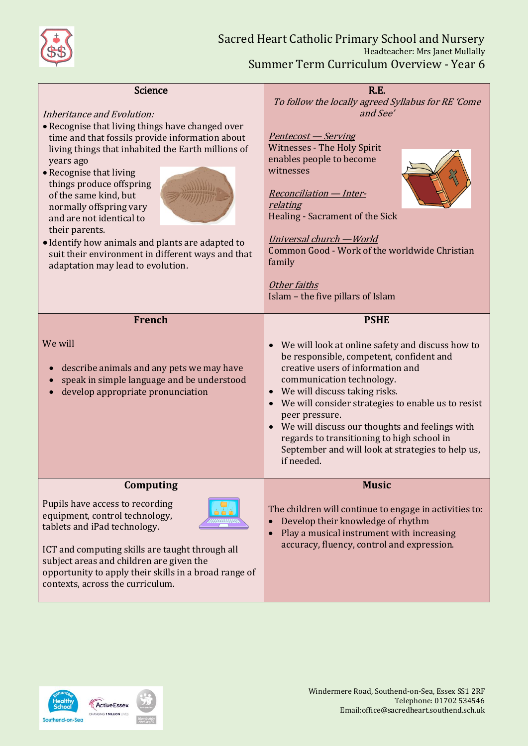

| <b>Science</b>                                                                                                                                                                                                                                                                                                                                                                                                                                                                                              | R.E.                                                                                                                                                                                                                                                                                                                                                                                                                                                                     |
|-------------------------------------------------------------------------------------------------------------------------------------------------------------------------------------------------------------------------------------------------------------------------------------------------------------------------------------------------------------------------------------------------------------------------------------------------------------------------------------------------------------|--------------------------------------------------------------------------------------------------------------------------------------------------------------------------------------------------------------------------------------------------------------------------------------------------------------------------------------------------------------------------------------------------------------------------------------------------------------------------|
| Inheritance and Evolution:<br>• Recognise that living things have changed over<br>time and that fossils provide information about<br>living things that inhabited the Earth millions of<br>years ago<br>• Recognise that living<br>things produce offspring<br>of the same kind, but<br>normally offspring vary<br>and are not identical to<br>their parents.<br>• Identify how animals and plants are adapted to<br>suit their environment in different ways and that<br>adaptation may lead to evolution. | To follow the locally agreed Syllabus for RE 'Come<br>and See'<br>Pentecost – Serving<br><b>Witnesses - The Holy Spirit</b><br>enables people to become<br>witnesses<br><b>Reconciliation - Inter-</b><br>relating<br>Healing - Sacrament of the Sick<br><u> Universal church — World</u><br>Common Good - Work of the worldwide Christian<br>family<br>Other faiths<br>Islam - the five pillars of Islam                                                                |
|                                                                                                                                                                                                                                                                                                                                                                                                                                                                                                             |                                                                                                                                                                                                                                                                                                                                                                                                                                                                          |
| <b>French</b><br>We will<br>describe animals and any pets we may have<br>speak in simple language and be understood<br>develop appropriate pronunciation                                                                                                                                                                                                                                                                                                                                                    | <b>PSHE</b><br>We will look at online safety and discuss how to<br>be responsible, competent, confident and<br>creative users of information and<br>communication technology.<br>We will discuss taking risks.<br>$\bullet$<br>• We will consider strategies to enable us to resist<br>peer pressure.<br>We will discuss our thoughts and feelings with<br>regards to transitioning to high school in<br>September and will look at strategies to help us,<br>if needed. |
| Computing                                                                                                                                                                                                                                                                                                                                                                                                                                                                                                   | <b>Music</b>                                                                                                                                                                                                                                                                                                                                                                                                                                                             |
| Pupils have access to recording<br>equipment, control technology,<br>tablets and iPad technology.<br>ICT and computing skills are taught through all<br>subject areas and children are given the                                                                                                                                                                                                                                                                                                            | The children will continue to engage in activities to:<br>Develop their knowledge of rhythm<br>$\bullet$<br>Play a musical instrument with increasing<br>$\bullet$<br>accuracy, fluency, control and expression.                                                                                                                                                                                                                                                         |